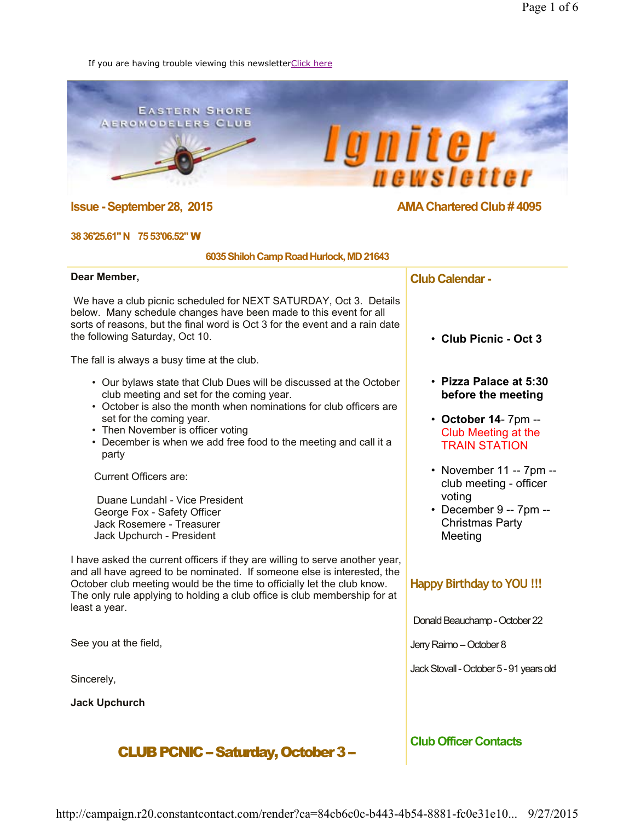## **EASTERN SHORE AEROMODELERS CLUB**



# **lgniter**

## **Issue - September 28, 2015 AMA Chartered Club # 4095**

#### **38 36'25.61" N 75 53'06.52"** W

#### **6035 Shiloh Camp Road Hurlock, MD 21643**

| Dear Member,                                                                                                                                                                                                                                                                                                                        | <b>Club Calendar -</b>                                                                                                        |
|-------------------------------------------------------------------------------------------------------------------------------------------------------------------------------------------------------------------------------------------------------------------------------------------------------------------------------------|-------------------------------------------------------------------------------------------------------------------------------|
| We have a club picnic scheduled for NEXT SATURDAY, Oct 3. Details<br>below. Many schedule changes have been made to this event for all<br>sorts of reasons, but the final word is Oct 3 for the event and a rain date<br>the following Saturday, Oct 10.                                                                            | • Club Picnic - Oct 3                                                                                                         |
| The fall is always a busy time at the club.                                                                                                                                                                                                                                                                                         |                                                                                                                               |
| • Our bylaws state that Club Dues will be discussed at the October<br>club meeting and set for the coming year.<br>• October is also the month when nominations for club officers are<br>set for the coming year.<br>• Then November is officer voting<br>• December is when we add free food to the meeting and call it a<br>party | • Pizza Palace at 5:30<br>before the meeting<br>$\cdot$ October 14- 7pm --<br>Club Meeting at the<br><b>TRAIN STATION</b>     |
| <b>Current Officers are:</b><br>Duane Lundahl - Vice President<br>George Fox - Safety Officer<br>Jack Rosemere - Treasurer<br>Jack Upchurch - President                                                                                                                                                                             | • November 11 -- 7pm --<br>club meeting - officer<br>voting<br>• December $9 - 7$ pm $-$<br><b>Christmas Party</b><br>Meeting |
| I have asked the current officers if they are willing to serve another year,<br>and all have agreed to be nominated. If someone else is interested, the<br>October club meeting would be the time to officially let the club know.<br>The only rule applying to holding a club office is club membership for at<br>least a year.    | <b>Happy Birthday to YOU !!!</b>                                                                                              |
|                                                                                                                                                                                                                                                                                                                                     | Donald Beauchamp - October 22                                                                                                 |
| See you at the field,                                                                                                                                                                                                                                                                                                               | Jerry Raimo - October 8                                                                                                       |
| Sincerely,                                                                                                                                                                                                                                                                                                                          | Jack Stovall - October 5 - 91 years old                                                                                       |
| <b>Jack Upchurch</b>                                                                                                                                                                                                                                                                                                                |                                                                                                                               |

# **CLUB PCNIC - Saturday, October 3 --**

**Club Officer Contacts**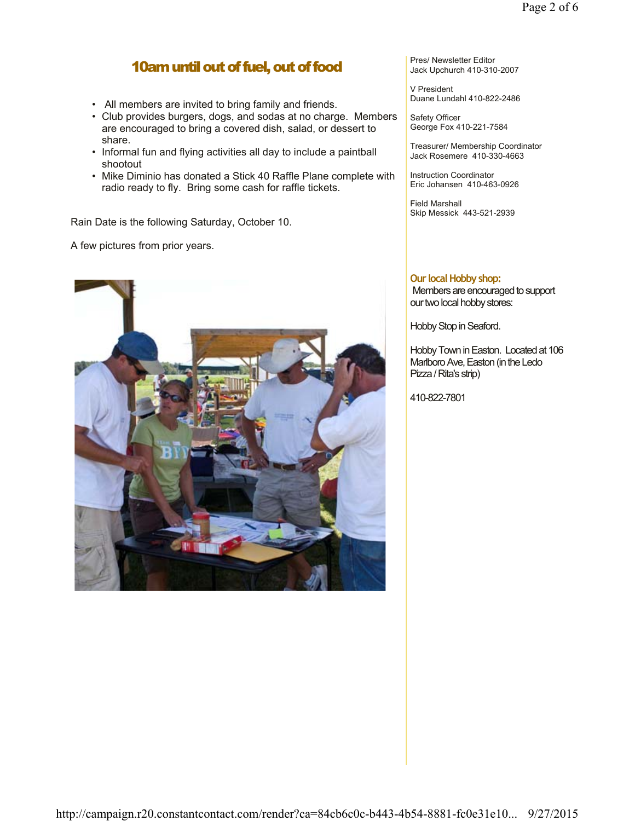# 10am until out of fuel, out of food

- All members are invited to bring family and friends.
- Club provides burgers, dogs, and sodas at no charge. Members are encouraged to bring a covered dish, salad, or dessert to share.
- Informal fun and flying activities all day to include a paintball shootout
- Mike Diminio has donated a Stick 40 Raffle Plane complete with radio ready to fly. Bring some cash for raffle tickets.

Rain Date is the following Saturday, October 10.

A few pictures from prior years.



Pres/ Newsletter Editor Jack Upchurch 410-310-2007

V President Duane Lundahl 410-822-2486

Safety Officer George Fox 410-221-7584

Treasurer/ Membership Coordinator Jack Rosemere 410-330-4663

Instruction Coordinator Eric Johansen 410-463-0926

Field Marshall Skip Messick 443-521-2939

### **Our local Hobby shop:**

Members are encouraged to support our two local hobby stores:

Hobby Stop in Seaford.

Hobby Town in Easton. Located at 106 Marlboro Ave, Easton (in the Ledo Pizza / Rita's strip)

410-822-7801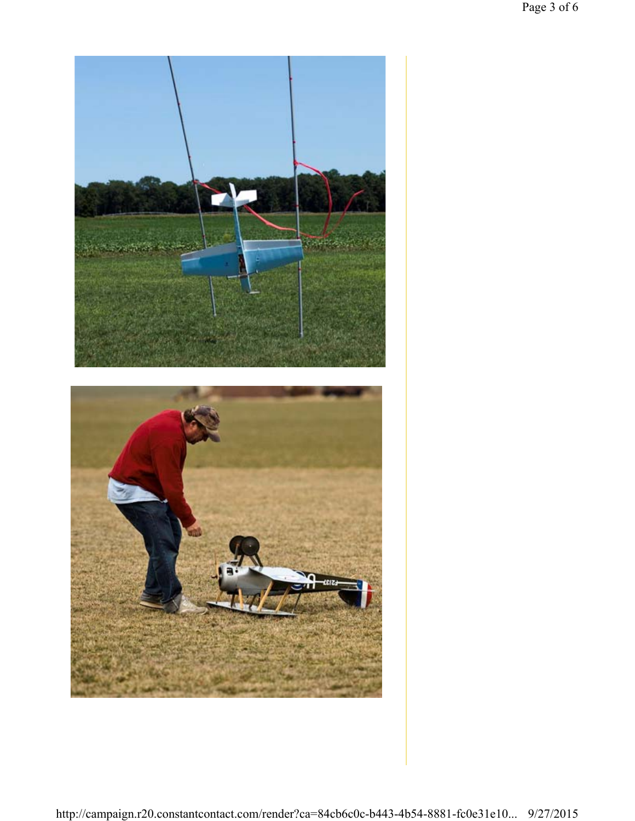

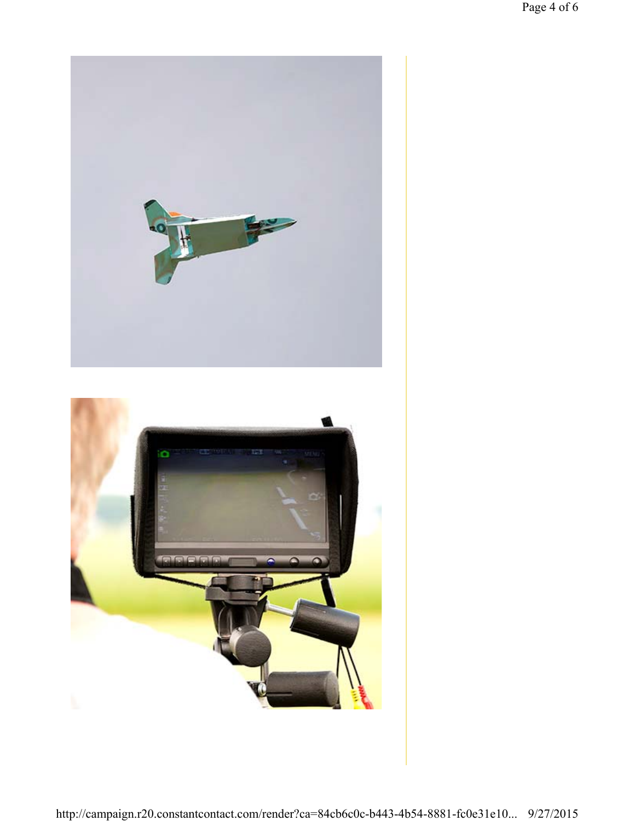